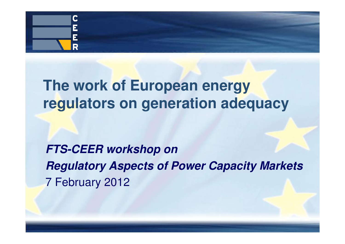

## **The work of European energy regulators on generation adequacy**

**FTS-CEER workshop on Regulatory Aspects of Power Capacity Markets**7 February 2012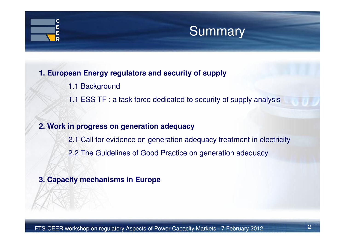## C Ē

## Summary

### **1. European Energy regulators and security of supply**

- 1.1 Background
- 1.1 ESS TF : a task force dedicated to security of supply analysis

### **2. Work in progress on generation adequacy**

2.1 Call for evidence on generation adequacy treatment in electricity2.2 The Guidelines of Good Practice on generation adequacy

### **3. Capacity mechanisms in Europe**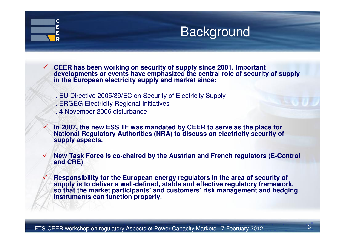### $\mathsf{C}$ Ē E

 $\checkmark$ 

 $\checkmark$ 

✓

## **Background**

- **CEER has been working on security of supply since 2001. Important developments or events have emphasized the central role of security of supply in the European electricity supply and market since:**
	- . EU Directive 2005/89/EC on Security of Electricity Supply
	- . ERGEG Electricity Regional Initiatives
	- . 4 November 2006 disturbance
	- **In 2007, the new ESS TF was mandated by CEER to serve as the place for National Regulatory Authorities (NRA) to discuss on electricity security of supply aspects.**
	- **New Task Force is co-chaired by the Austrian and French regulators (E-Control and CRE)**
- **Responsibility for the European energy regulators in the area of security of supply is to deliver a well-defined, stable and effective regulatory framework, so that the market participants' and customers' risk management and hedging instruments can function properly.**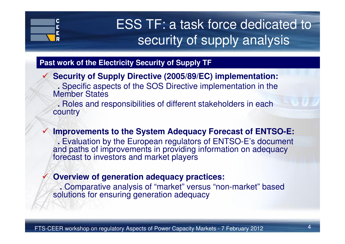

 $\checkmark$ 

 $\checkmark$ 

## ESS TF: a task force dedicated to security of supply analysis

### **Past work of the Electricity Security of Supply TF**

 **Security of Supply Directive (2005/89/EC) implementation: .** Specific aspects of the SOS Directive implementation in the Member States

 **.** Roles and responsibilities of different stakeholders in each country

 **Improvements to the System Adequacy Forecast of ENTSO-E: .** Evaluation by the European regulators of ENTSO-E's document and paths of improvements in providing information on adequacy forecast to investors and market players

### **Overview of generation adequacy practices:**

**.** Comparative analysis of "market" versus "non-market" based solutions for ensuring generation adequacy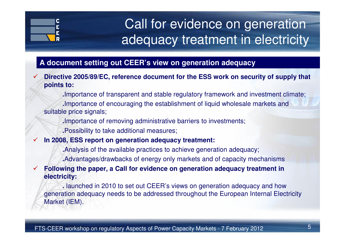

## Call for evidence on generation adequacy treatment in electricity

### **A document setting out CEER's view on generation adequacy**

- $\checkmark$  **Directive 2005/89/EC, reference document for the ESS work on security of supply that points to:**
	- **.**Importance of transparent and stable regulatory framework and investment climate;

**.**Importance of encouraging the establishment of liquid wholesale markets and suitable price signals;

**.**Importance of removing administrative barriers to investments;

**.**Possibility to take additional measures;

## **In 2008, ESS report on generation adequacy treatment:**

- **.**Analysis of the available practices to achieve generation adequacy;
- **.**Advantages/drawbacks of energy only markets and of capacity mechanisms

#### $\checkmark$  **Following the paper, a Call for evidence on generation adequacy treatment in electricity:**

**.** launched in 2010 to set out CEER's views on generation adequacy and how generation adequacy needs to be addressed throughout the European Internal Electricity Market (IEM).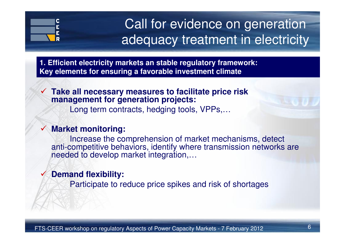

## Call for evidence on generation adequacy treatment in electricity

**1. Efficient electricity markets an stable regulatory framework:Key elements for ensuring a favorable investment climate**

#### $\checkmark$  **Take all necessary measures to facilitate price risk management for generation projects:**

Long term contracts, hedging tools, VPPs,…

#### $\checkmark$ **Market monitoring:**

Increase the comprehension of market mechanisms, detect anti-competitive behaviors, identify where transmission networks are needed to develop market integration,…

#### $\checkmark$ **Demand flexibility:**

Participate to reduce price spikes and risk of shortages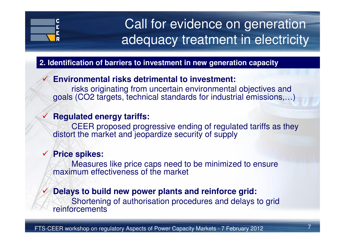

 $\checkmark$ 

 $\checkmark$ 

## Call for evidence on generation adequacy treatment in electricity

### **2. Identification of barriers to investment in new generation capacity**

#### $\checkmark$ **Environmental risks detrimental to investment:**

risks originating from uncertain environmental objectives and goals (CO2 targets, technical standards for industrial emissions,…)

## **Regulated energy tariffs:**

CEER proposed progressive ending of regulated tariffs as they distort the market and jeopardize security of supply

## **Price spikes:**

Measures like price caps need to be minimized to ensure maximum effectiveness of the market

### **Delays to build new power plants and reinforce grid:**

Shortening of authorisation procedures and delays to grid reinforcements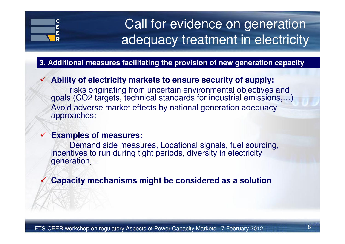# Ē

## Call for evidence on generation adequacy treatment in electricity

### **3. Additional measures facilitating the provision of new generation capacity**

#### $\checkmark$ **Ability of electricity markets to ensure security of supply:**

risks originating from uncertain environmental objectives and goals (CO2 targets, technical standards for industrial emissions,…)Avoid adverse market effects by national generation adequacy approaches:

#### $\checkmark$ **Examples of measures:**

Demand side measures, Locational signals, fuel sourcing, incentives to run during tight periods, diversity in electricitygeneration,…

#### $\checkmark$ **Capacity mechanisms might be considered as a solution**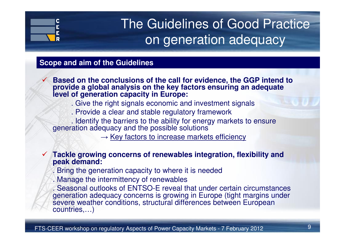### C Ē E

 $\checkmark$ 

## The Guidelines of Good Practice on generation adequacy

### **Scope and aim of the Guidelines**

- **Based on the conclusions of the call for evidence, the GGP intend to provide a global analysis on the key factors ensuring an adequate level of generation capacity in Europe:**
	- . Give the right signals economic and investment signals
	- . Provide a clear and stable regulatory framework
	- . Identify the barriers to the ability for energy markets to ensure generation adequacy and the possible solutions
		- $\rightarrow$  Key factors to increase markets efficiency
- **Tackle growing concerns of renewables integration, flexibility and peak demand:**
	- . Bring the generation capacity to where it is needed
	- . Manage the intermittency of renewables
	- . Seasonal outlooks of ENTSO-E reveal that under certain circumstances generation adequacy concerns is growing in Europe (tight margins under severe weather conditions, structural differences between European countries,…)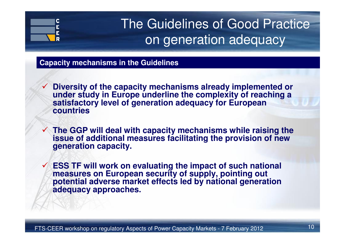### C E E

## The Guidelines of Good Practice on generation adequacy

### **Capacity mechanisms in the Guidelines**

- **Diversity of the capacity mechanisms already implemented or under study in Europe underline the complexity of reaching a satisfactory level of generation adequacy for European countries**
- **The GGP will deal with capacity mechanisms while raising the issue of additional measures facilitating the provision of new generation capacity.**
- $\checkmark$  **ESS TF will work on evaluating the impact of such national measures on European security of supply, pointing out potential adverse market effects led by national generation adequacy approaches.**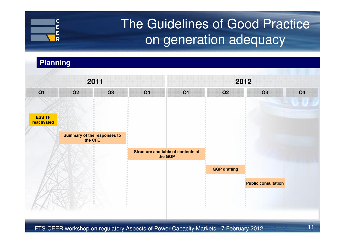## The Guidelines of Good Practice on generation adequacy

## **2011 <sup>2012</sup> Q1 Q2 Q3 Q4 Q1 Q2 Q3 Q4 Public consultationSummary of the responses to the CFEStructure and table of contents of the GGPGGP draftingESS TF reactivatedPlanning**

FTS-CEER workshop on regulatory Aspects of Power Capacity Markets - 7 February 2012

 $\mathbf C$ Ē E. R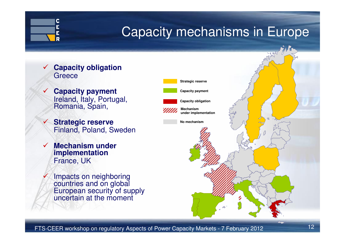

- $\checkmark$  **Capacity obligation Greece**
- $\sqrt{ }$  **Capacity payment** Ireland, Italy, Portugal, Romania, Spain,
	- **Strategic reserve** Finland, Poland, Sweden
- $\checkmark$  **Mechanism under implementation**France, UK

 $\checkmark$ 

 $\mathbf C$ E E R

 $\checkmark$ 

Impacts on neighboring countries and on global European security of supply uncertain at the moment